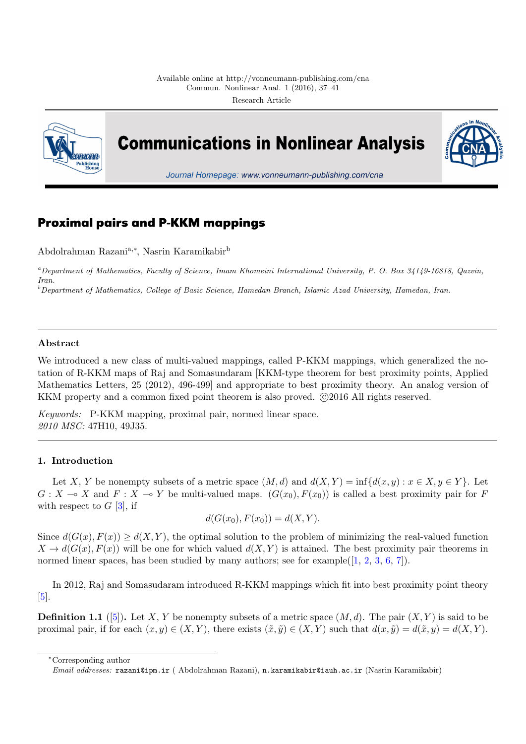

**Communications in Nonlinear Analysis** 



Journal Homepage: www.vonneumann-publishing.com/cna

# **Proximal pairs and P-KKM mappings**

Abdolrahman Razania,*<sup>∗</sup>* , Nasrin Karamikabir<sup>b</sup>

*<sup>a</sup>Department of Mathematics, Faculty of Science, Imam Khomeini International University, P. O. Box 34149-16818, Qazvin, Iran.*

*<sup>b</sup>Department of Mathematics, College of Basic Science, Hamedan Branch, Islamic Azad University, Hamedan, Iran.*

# **Abstract**

We introduced a new class of multi-valued mappings, called P-KKM mappings, which generalized the notation of R-KKM maps of Raj and Somasundaram [KKM-type theorem for best proximity points, Applied Mathematics Letters, 25 (2012), 496-499] and appropriate to best proximity theory. An analog version of KKM property and a common fixed point theorem is also proved.  $\odot$ 2016 All rights reserved.

*Keywords:* P-KKM mapping, proximal pair, normed linear space. *2010 MSC:* 47H10, 49J35.

## **1. Introduction**

<span id="page-0-0"></span>Let *X*, *Y* be nonempty subsets of a metric space  $(M, d)$  and  $d(X, Y) = \inf\{d(x, y) : x \in X, y \in Y\}$ . Let  $G: X \to X$  and  $F: X \to Y$  be multi-valued maps.  $(G(x_0), F(x_0))$  is called a best proximity pair for *F* with respect to  $G$  [3], if

$$
d(G(x_0), F(x_0)) = d(X, Y).
$$

Since  $d(G(x), F(x)) \geq d(X, Y)$ , the optimal solution to the problem of minimizing the real-valued function  $X \to d(G(x), F(x))$  $X \to d(G(x), F(x))$  $X \to d(G(x), F(x))$  will be one for which valued  $d(X, Y)$  is attained. The best proximity pair theorems in normed linear spaces, has been studied by many authors; see for example( $[1, 2, 3, 6, 7]$ ).

In 2012, Raj and Somasudaram introduced R-KKM mappings which fit into best proximity point theory [5].

**Definition 1.1** ([5]). Let *X*, *Y* be nonempty subsets of a metric space  $(M, d)$ . The pair  $(X, Y)$  is said to be proximal pair, if for each  $(x, y) \in (X, Y)$ , there exists  $(\tilde{x}, \tilde{y}) \in (X, Y)$  such that  $d(x, \tilde{y}) = d(\tilde{x}, y) = d(X, Y)$ .

*<sup>∗</sup>*Corresponding a[ut](#page-4-1)hor

*Email addresses:* razani@ipm.ir ( Abdolrahman Razani), n.karamikabir@iauh.ac.ir (Nasrin Karamikabir)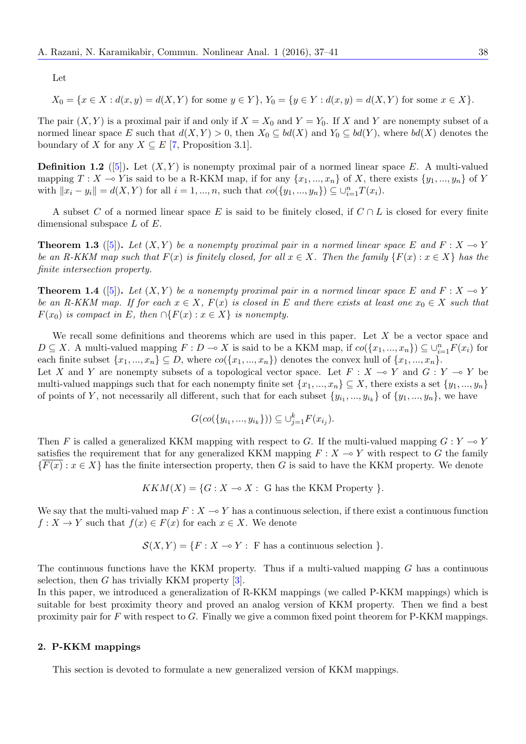Let

$$
X_0 = \{x \in X : d(x, y) = d(X, Y) \text{ for some } y \in Y\}, Y_0 = \{y \in Y : d(x, y) = d(X, Y) \text{ for some } x \in X\}.
$$

The pair  $(X, Y)$  is a proximal pair if and only if  $X = X_0$  and  $Y = Y_0$ . If X and Y are nonempty subset of a normed linear space *E* such that  $d(X, Y) > 0$ , then  $X_0 \subseteq bd(X)$  and  $Y_0 \subseteq bd(Y)$ , where  $bd(X)$  denotes the boundary of *X* for any  $X \subseteq E$  [7, Proposition 3.1].

**Definition 1.2** ([5]). Let  $(X, Y)$  is nonempty proximal pair of a normed linear space E. A multi-valued mapping  $T: X \to Y$  is said to be a R-KKM map, if for any  $\{x_1, ..., x_n\}$  of *X*, there exists  $\{y_1, ..., y_n\}$  of *Y* w[i](#page-4-2)th  $||x_i - y_i|| = d(X, Y)$  for all  $i = 1, ..., n$ , such that  $co({y_1, ..., y_n}) \subseteq \bigcup_{i=1}^n T(x_i)$ .

A subset *C* of [a](#page-4-1) normed linear space *E* is said to be finitely closed, if *C ∩ L* is closed for every finite dimensional subspace *L* of *E*.

**Theorem 1.3** ([5]). Let  $(X, Y)$  be a nonempty proximal pair in a normed linear space E and  $F: X \to Y$ *be an R-KKM map such that*  $F(x)$  *is finitely closed, for all*  $x \in X$ *. Then the family*  $\{F(x) : x \in X\}$  *has the finite intersection property.*

<span id="page-1-0"></span>**Theorem 1.4** ([[5](#page-4-1)]). Let  $(X, Y)$  be a nonempty proximal pair in a normed linear space E and  $F : X \to Y$ *be an R-KKM map. If for each*  $x \in X$ ,  $F(x)$  *is closed in*  $E$  *and there exists at least one*  $x_0 \in X$  *such that*  $F(x_0)$  *is compact in E, then*  $\cap$ { $F(x)$  :  $x \in X$ } *is nonempty.* 

<span id="page-1-1"></span>We recall so[me](#page-4-1) definitions and theorems which are used in this paper. Let *X* be a vector space and  $D \subseteq X$ . A multi-valued mapping  $F: D \to X$  is said to be a KKM map, if  $co({x_1,...,x_n}) \subseteq \bigcup_{i=1}^n F(x_i)$  for each finite subset  $\{x_1, ..., x_n\} \subseteq D$ , where  $co(\{x_1, ..., x_n\})$  denotes the convex hull of  $\{x_1, ..., x_n\}$ .

Let *X* and *Y* are nonempty subsets of a topological vector space. Let  $F: X \to Y$  and  $G: Y \to Y$  be multi-valued mappings such that for each nonempty finite set  $\{x_1, ..., x_n\} \subseteq X$ , there exists a set  $\{y_1, ..., y_n\}$ of points of *Y*, not necessarily all different, such that for each subset  $\{y_{i_1},...,y_{i_k}\}$  of  $\{y_1,...,y_n\}$ , we have

$$
G(co({y_{i_1},...,y_{i_k}})) \subseteq \bigcup_{j=1}^k F(x_{i_j}).
$$

Then *F* is called a generalized KKM mapping with respect to *G*. If the multi-valued mapping  $G: Y \to Y$ satisfies the requirement that for any generalized KKM mapping  $F: X \to Y$  with respect to G the family  ${F(x): x \in X}$  has the finite intersection property, then *G* is said to have the KKM property. We denote

 $KKM(X) = \{G : X \to X : G \text{ has the KKM Property } \}.$ 

We say that the multi-valued map  $F: X \to Y$  has a continuous selection, if there exist a continuous function  $f: X \to Y$  such that  $f(x) \in F(x)$  for each  $x \in X$ . We denote

 $S(X, Y) = \{F : X \rightarrow Y : F$  has a continuous selection  $\}$ *.* 

The continuous functions have the KKM property. Thus if a multi-valued mapping *G* has a continuous selection, then *G* has trivially KKM property [3].

In this paper, we introduced a generalization of R-KKM mappings (we called P-KKM mappings) which is suitable for best proximity theory and proved an analog version of KKM property. Then we find a best proximity pair for *F* with respect to *G*. Finally we give a common fixed point theorem for P-KKM mappings.

## **2. P-KKM mappings**

This section is devoted to formulate a new generalized version of KKM mappings.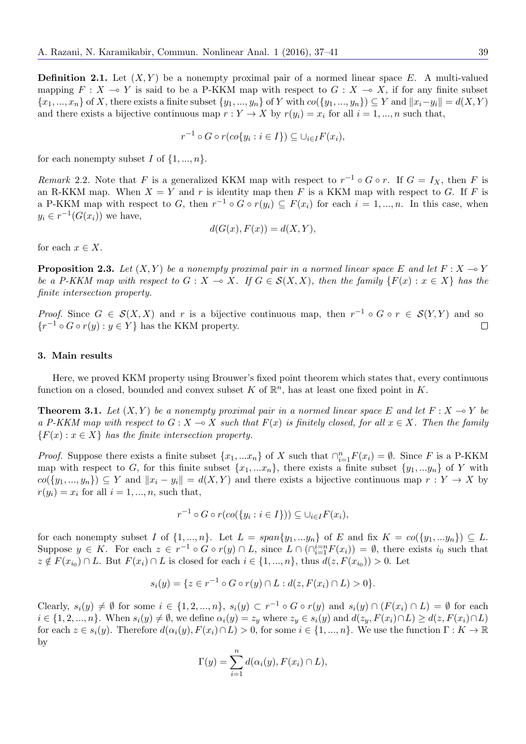**Definition 2.1.** Let  $(X, Y)$  be a nonempty proximal pair of a normed linear space  $E$ . A multi-valued mapping  $F: X \to Y$  is said to be a P-KKM map with respect to  $G: X \to X$ , if for any finite subset  $\{x_1, ..., x_n\}$  of X, there exists a finite subset  $\{y_1, ..., y_n\}$  of Y with  $co(\{y_1, ..., y_n\}) \subseteq Y$  and  $||x_i - y_i|| = d(X, Y)$ and there exists a bijective continuous map  $r: Y \to X$  by  $r(y_i) = x_i$  for all  $i = 1, ..., n$  such that,

$$
r^{-1} \circ G \circ r (co\{y_i : i \in I\}) \subseteq \cup_{i \in I} F(x_i),
$$

for each nonempty subset *I* of  $\{1, ..., n\}$ .

*Remark* 2.2. Note that *F* is a generalized KKM map with respect to  $r^{-1} \circ G \circ r$ . If  $G = I_X$ , then *F* is an R-KKM map. When  $X = Y$  and r is identity map then F is a KKM map with respect to G. If F is a P-KKM map with respect to *G*, then  $r^{-1} \circ G \circ r(y_i) \subseteq F(x_i)$  for each  $i = 1, ..., n$ . In this case, when  $y_i \in r^{-1}(G(x_i))$  we have,

$$
d(G(x), F(x)) = d(X, Y),
$$

for each  $x \in X$ .

**Proposition 2.3.** *Let*  $(X, Y)$  *be a nonempty proximal pair in a normed linear space*  $E$  *and let*  $F: X \to Y$ *be a P-KKM map with respect to*  $G: X \to X$ *. If*  $G \in \mathcal{S}(X, X)$ *, then the family*  $\{F(x): x \in X\}$  *has the finite intersection property.*

*Proof.* Since  $G \in S(X,X)$  and  $r$  is a bijective continuous map, then  $r^{-1} \circ G \circ r \in S(Y,Y)$  and so *{r*<sup>-1</sup> ◦ *G* ◦ *r*(*y*) : *y* ∈ *Y }* has the KKM property.  $\Box$ 

#### **3. Main results**

Here, we proved KKM property using Brouwer's fixed point theorem which states that, every continuous function on a closed, bounded and convex subset  $K$  of  $\mathbb{R}^n$ , has at least one fixed point in  $K$ .

<span id="page-2-0"></span>**Theorem 3.1.** Let  $(X, Y)$  be a nonempty proximal pair in a normed linear space E and let  $F: X \to Y$  be *a P*-*KKM* map with respect to *G* : *X* → *X* such that  $F(x)$  is finitely closed, for all  $x \in X$ . Then the family  ${F(x): x \in X}$  *has the finite intersection property.* 

*Proof.* Suppose there exists a finite subset  $\{x_1, ... x_n\}$  of *X* such that  $\bigcap_{i=1}^n F(x_i) = \emptyset$ . Since *F* is a P-KKM map with respect to *G*, for this finite subset  $\{x_1, \ldots x_n\}$ , there exists a finite subset  $\{y_1, \ldots y_n\}$  of *Y* with  $co({y_1,..., y_n}) \subseteq Y$  and  $||x_i - y_i|| = d(X,Y)$  and there exists a bijective continuous map  $r: Y \to X$  by  $r(y_i) = x_i$  for all  $i = 1, \ldots, n$ , such that,

$$
r^{-1} \circ G \circ r (co({y_i : i \in I})) \subseteq \cup_{i \in I} F(x_i),
$$

for each nonempty subset I of  $\{1, ..., n\}$ . Let  $L = span\{y_1, ..., y_n\}$  of E and fix  $K = co(\{y_1, ..., y_n\}) \subseteq L$ . Suppose  $y \in K$ . For each  $z \in r^{-1} \circ G \circ r(y) \cap L$ , since  $L \cap (\bigcap_{i=1}^{i=n} F(x_i)) = \emptyset$ , there exists  $i_0$  such that  $z \notin F(x_{i_0}) \cap L$ . But  $F(x_i) \cap L$  is closed for each  $i \in \{1, ..., n\}$ , thus  $d(z, F(x_{i_0})) > 0$ . Let

$$
s_i(y) = \{ z \in r^{-1} \circ G \circ r(y) \cap L : d(z, F(x_i) \cap L) > 0 \}.
$$

Clearly,  $s_i(y) \neq \emptyset$  for some  $i \in \{1, 2, ..., n\}$ ,  $s_i(y) \subset r^{-1} \circ G \circ r(y)$  and  $s_i(y) \cap (F(x_i) \cap L) = \emptyset$  for each  $i \in \{1, 2, ..., n\}$ . When  $s_i(y) \neq \emptyset$ , we define  $\alpha_i(y) = z_y$  where  $z_y \in s_i(y)$  and  $d(z_y, F(x_i) \cap L) \geq d(z, F(x_i) \cap L)$ for each  $z \in s_i(y)$ . Therefore  $d(\alpha_i(y), F(x_i) \cap L) > 0$ , for some  $i \in \{1, ..., n\}$ . We use the function  $\Gamma : K \to \mathbb{R}$ by

$$
\Gamma(y) = \sum_{i=1}^{n} d(\alpha_i(y), F(x_i) \cap L),
$$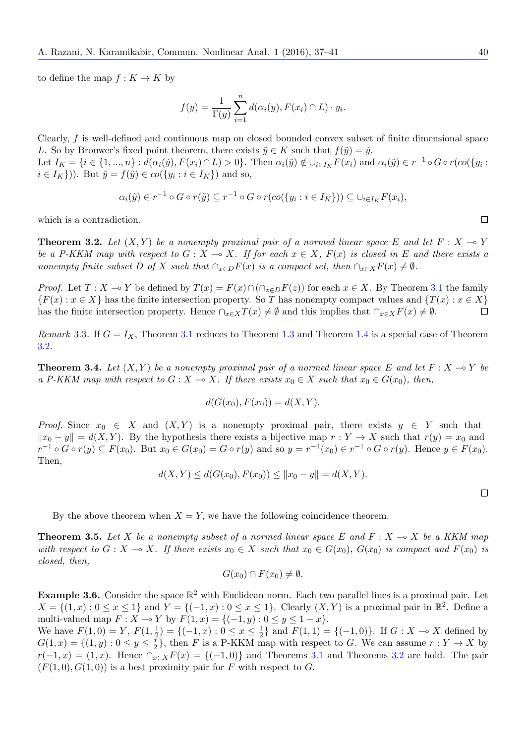to define the map  $f: K \to K$  by

$$
f(y) = \frac{1}{\Gamma(y)} \sum_{i=1}^{n} d(\alpha_i(y), F(x_i) \cap L) \cdot y_i.
$$

Clearly, *f* is well-defined and continuous map on closed bounded convex subset of finite dimensional space *L*. So by Brouwer's fixed point theorem, there exists  $\tilde{y} \in K$  such that  $f(\tilde{y}) = \tilde{y}$ .

Let  $I_K = \{i \in \{1, ..., n\} : d(\alpha_i(\tilde{y}), F(x_i) \cap L) > 0\}$ . Then  $\alpha_i(\tilde{y}) \notin \bigcup_{i \in I_K} F(x_i)$  and  $\alpha_i(\tilde{y}) \in r^{-1} \circ G \circ r(\text{co}(\{y_i :$  $i \in I_K$ })). But  $\tilde{y} = f(\tilde{y}) \in co({y_i : i \in I_K})$  and so,

$$
\alpha_i(\tilde{y}) \in r^{-1} \circ G \circ r(\tilde{y}) \subseteq r^{-1} \circ G \circ r(\cos(\{y_i : i \in I_K\})) \subseteq \cup_{i \in I_K} F(x_i),
$$

which is a contradiction.

**Theorem 3.2.** Let  $(X, Y)$  be a nonempty proximal pair of a normed linear space E and let  $F : X \to Y$ *be a P-KKM map with respect to*  $G: X \to X$ *. If for each*  $x \in X$ *,*  $F(x)$  *is closed in*  $E$  *and there exists a* nonempty finite subset D of X such that  $\bigcap_{x\in D}F(x)$  is a compact set, then  $\bigcap_{x\in X}F(x)\neq\emptyset$ .

*Proof.* Let  $T: X \to Y$  be defined by  $T(x) = F(x) \cap (\bigcap_{z \in D} F(z))$  for each  $x \in X$ . By Theorem 3.1 the family  ${F(x): x \in X}$  has the finite intersection property. So *T* has nonempty compact values and  ${T(x): x \in X}$ has the finite intersection property. Hence  $\bigcap_{x \in X} T(x) \neq \emptyset$  and this implies that  $\bigcap_{x \in X} F(x) \neq \emptyset$ .  $\Box$ 

*Remark* 3.3. If  $G = I_X$ , Theorem 3.1 reduces to Theorem 1.3 and Theorem 1.4 is a special ca[se o](#page-2-0)f Theorem 3.2.

**Theorem 3.4.** Let  $(X, Y)$  be a nonempty proximal pair of a normed linear space E and let  $F: X \to Y$  be *a P*-*KKM* map with respect to *G* : *[X](#page-2-0)* → *X.* If there e[x](#page-1-1)ists  $x_0 \in X$  *such that*  $x_0 \in G(x_0)$ *, then,* 

$$
d(G(x_0), F(x_0)) = d(X, Y).
$$

*Proof.* Since  $x_0 \in X$  and  $(X, Y)$  is a nonempty proximal pair, there exists  $y \in Y$  such that  $||x_0 - y|| = d(X, Y)$ . By the hypothesis there exists a bijective map  $r : Y \to X$  such that  $r(y) = x_0$  and  $r^{-1} \circ G \circ r(y) \subseteq F(x_0)$ . But  $x_0 \in G(x_0) = G \circ r(y)$  and so  $y = r^{-1}(x_0) \in r^{-1} \circ G \circ r(y)$ . Hence  $y \in F(x_0)$ . Then,

$$
d(X,Y) \le d(G(x_0), F(x_0)) \le ||x_0 - y|| = d(X,Y).
$$

By the above theorem when  $X = Y$ , we have the following coincidence theorem.

**Theorem 3.5.** Let *X* be a nonempty subset of a normed linear space  $E$  and  $F: X \to X$  be a KKM map with respect to  $G: X \to X$ . If there exists  $x_0 \in X$  such that  $x_0 \in G(x_0)$ ,  $G(x_0)$  is compact and  $F(x_0)$  is *closed, then,*

*G*(*x*<sub>0</sub>) ∩ *F*(*x*<sub>0</sub>)  $\neq$  Ø.

**Example 3.6.** Consider the space  $\mathbb{R}^2$  with Euclidean norm. Each two parallel lines is a proximal pair. Let *X* = {(1, *x*) : 0 ≤ *x* ≤ 1} and *Y* = {(−1, *x*) : 0 ≤ *x* ≤ 1}. Clearly (*X,Y*) is a proximal pair in  $\mathbb{R}^2$ . Define a multi-valued map  $F: X \to Y$  by  $F(1, x) = \{(-1, y) : 0 \le y \le 1 - x\}.$ 

We have  $F(1,0) = Y, F(1, \frac{1}{2})$  $\frac{1}{2}$ ) = { $(-1, x) : 0 \le x \le \frac{1}{2}$  $\frac{1}{2}$ } and  $F(1, 1) = {(-1, 0)}$ . If *G* : *X* → *X* defined by  $G(1,x) = \{(1,y): 0 \leq y \leq \frac{x}{2}\}$  $\frac{x}{2}$ , then *F* is a P-KKM map with respect to *G*. We can assume  $r: Y \to X$  by  $r(-1, x) = (1, x)$ . Hence  $\bigcap_{x \in X} F(x) = \{(-1, 0)\}$  and Theorems 3.1 and Theorems 3.2 are hold. The pair  $(F(1,0), G(1,0))$  is a best proximity pair for F with respect to G.

 $\Box$ 

 $\Box$